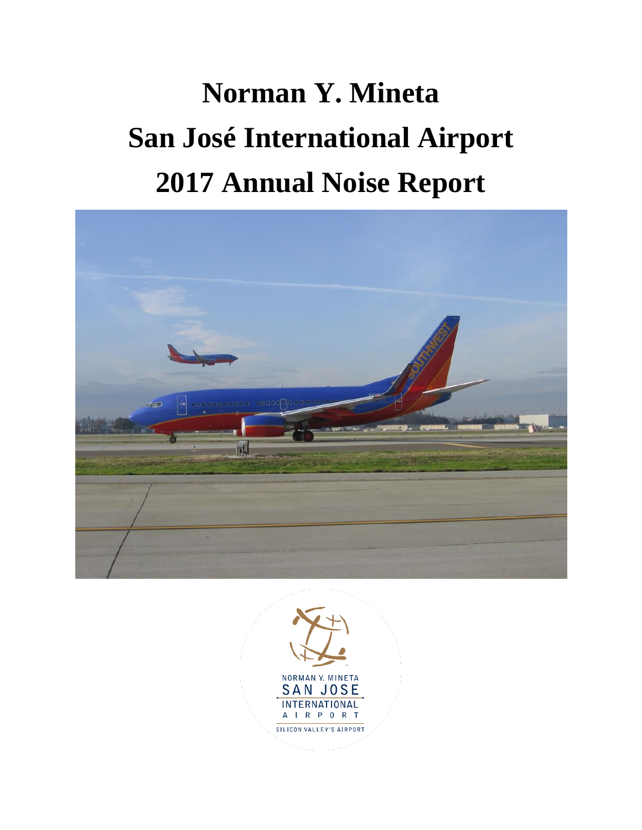# **Norman Y. Mineta San José International Airport 2017 Annual Noise Report**



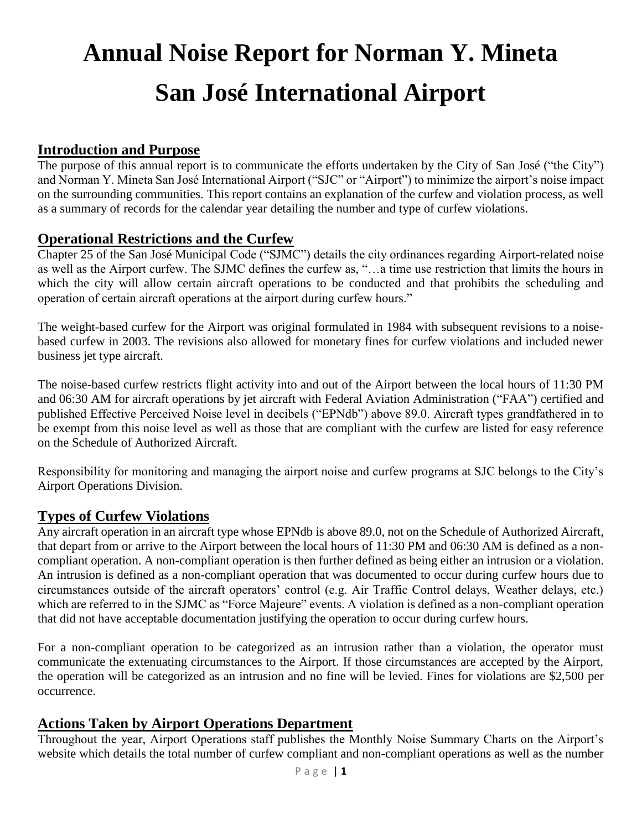# **Annual Noise Report for Norman Y. Mineta San José International Airport**

# **Introduction and Purpose**

The purpose of this annual report is to communicate the efforts undertaken by the City of San José ("the City") and Norman Y. Mineta San José International Airport ("SJC" or "Airport") to minimize the airport's noise impact on the surrounding communities. This report contains an explanation of the curfew and violation process, as well as a summary of records for the calendar year detailing the number and type of curfew violations.

#### **Operational Restrictions and the Curfew**

Chapter 25 of the San José Municipal Code ("SJMC") details the city ordinances regarding Airport-related noise as well as the Airport curfew. The SJMC defines the curfew as, "…a time use restriction that limits the hours in which the city will allow certain aircraft operations to be conducted and that prohibits the scheduling and operation of certain aircraft operations at the airport during curfew hours."

The weight-based curfew for the Airport was original formulated in 1984 with subsequent revisions to a noisebased curfew in 2003. The revisions also allowed for monetary fines for curfew violations and included newer business jet type aircraft.

The noise-based curfew restricts flight activity into and out of the Airport between the local hours of 11:30 PM and 06:30 AM for aircraft operations by jet aircraft with Federal Aviation Administration ("FAA") certified and published Effective Perceived Noise level in decibels ("EPNdb") above 89.0. Aircraft types grandfathered in to be exempt from this noise level as well as those that are compliant with the curfew are listed for easy reference on the Schedule of Authorized Aircraft.

Responsibility for monitoring and managing the airport noise and curfew programs at SJC belongs to the City's Airport Operations Division.

#### **Types of Curfew Violations**

Any aircraft operation in an aircraft type whose EPNdb is above 89.0, not on the Schedule of Authorized Aircraft, that depart from or arrive to the Airport between the local hours of 11:30 PM and 06:30 AM is defined as a noncompliant operation. A non-compliant operation is then further defined as being either an intrusion or a violation. An intrusion is defined as a non-compliant operation that was documented to occur during curfew hours due to circumstances outside of the aircraft operators' control (e.g. Air Traffic Control delays, Weather delays, etc.) which are referred to in the SJMC as "Force Majeure" events. A violation is defined as a non-compliant operation that did not have acceptable documentation justifying the operation to occur during curfew hours.

For a non-compliant operation to be categorized as an intrusion rather than a violation, the operator must communicate the extenuating circumstances to the Airport. If those circumstances are accepted by the Airport, the operation will be categorized as an intrusion and no fine will be levied. Fines for violations are \$2,500 per occurrence.

#### **Actions Taken by Airport Operations Department**

Throughout the year, Airport Operations staff publishes the Monthly Noise Summary Charts on the Airport's website which details the total number of curfew compliant and non-compliant operations as well as the number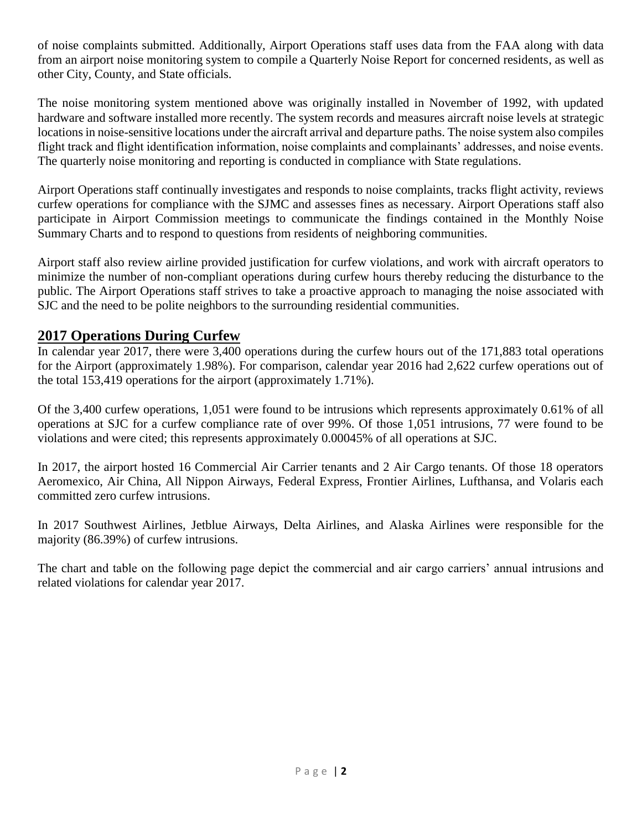of noise complaints submitted. Additionally, Airport Operations staff uses data from the FAA along with data from an airport noise monitoring system to compile a Quarterly Noise Report for concerned residents, as well as other City, County, and State officials.

The noise monitoring system mentioned above was originally installed in November of 1992, with updated hardware and software installed more recently. The system records and measures aircraft noise levels at strategic locations in noise-sensitive locations under the aircraft arrival and departure paths. The noise system also compiles flight track and flight identification information, noise complaints and complainants' addresses, and noise events. The quarterly noise monitoring and reporting is conducted in compliance with State regulations.

Airport Operations staff continually investigates and responds to noise complaints, tracks flight activity, reviews curfew operations for compliance with the SJMC and assesses fines as necessary. Airport Operations staff also participate in Airport Commission meetings to communicate the findings contained in the Monthly Noise Summary Charts and to respond to questions from residents of neighboring communities.

Airport staff also review airline provided justification for curfew violations, and work with aircraft operators to minimize the number of non-compliant operations during curfew hours thereby reducing the disturbance to the public. The Airport Operations staff strives to take a proactive approach to managing the noise associated with SJC and the need to be polite neighbors to the surrounding residential communities.

# **2017 Operations During Curfew**

In calendar year 2017, there were 3,400 operations during the curfew hours out of the 171,883 total operations for the Airport (approximately 1.98%). For comparison, calendar year 2016 had 2,622 curfew operations out of the total 153,419 operations for the airport (approximately 1.71%).

Of the 3,400 curfew operations, 1,051 were found to be intrusions which represents approximately 0.61% of all operations at SJC for a curfew compliance rate of over 99%. Of those 1,051 intrusions, 77 were found to be violations and were cited; this represents approximately 0.00045% of all operations at SJC.

In 2017, the airport hosted 16 Commercial Air Carrier tenants and 2 Air Cargo tenants. Of those 18 operators Aeromexico, Air China, All Nippon Airways, Federal Express, Frontier Airlines, Lufthansa, and Volaris each committed zero curfew intrusions.

In 2017 Southwest Airlines, Jetblue Airways, Delta Airlines, and Alaska Airlines were responsible for the majority (86.39%) of curfew intrusions.

The chart and table on the following page depict the commercial and air cargo carriers' annual intrusions and related violations for calendar year 2017.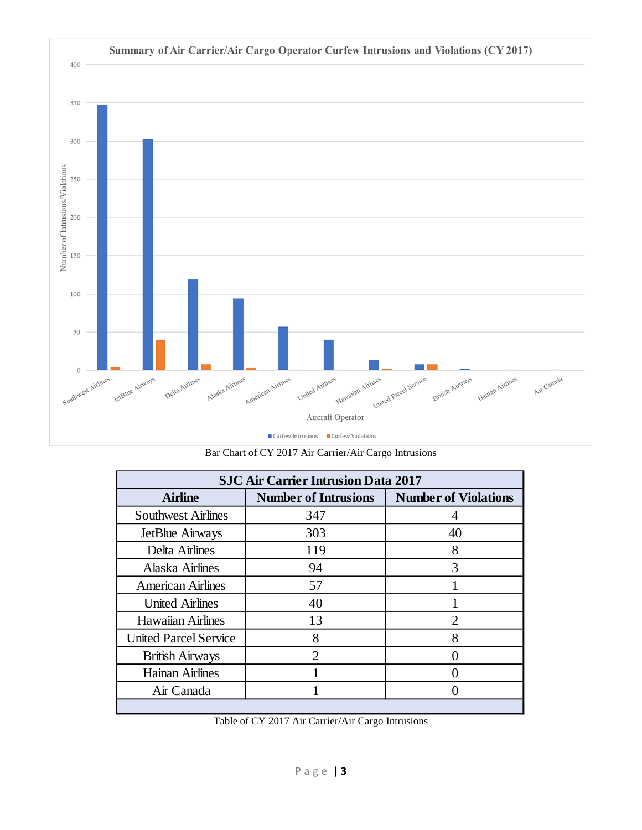

Bar Chart of CY 2017 Air Carrier/Air Cargo Intrusions

| <b>SJC Air Carrier Intrusion Data 2017</b> |                             |                             |  |
|--------------------------------------------|-----------------------------|-----------------------------|--|
| <b>Airline</b>                             | <b>Number of Intrusions</b> | <b>Number of Violations</b> |  |
| <b>Southwest Airlines</b>                  | 347                         |                             |  |
| JetBlue Airways                            | 303                         | 40                          |  |
| Delta Airlines                             | 119                         | 8                           |  |
| Alaska Airlines                            | 94                          | 3                           |  |
| <b>American Airlines</b>                   | 57                          |                             |  |
| <b>United Airlines</b>                     | 40                          |                             |  |
| <b>Hawaiian Airlines</b>                   | 13                          | $\overline{2}$              |  |
| <b>United Parcel Service</b>               | 8                           | 8                           |  |
| <b>British Airways</b>                     | $\mathfrak{D}$              |                             |  |
| <b>Hainan Airlines</b>                     |                             |                             |  |
| Air Canada                                 |                             |                             |  |
|                                            |                             |                             |  |

Table of CY 2017 Air Carrier/Air Cargo Intrusions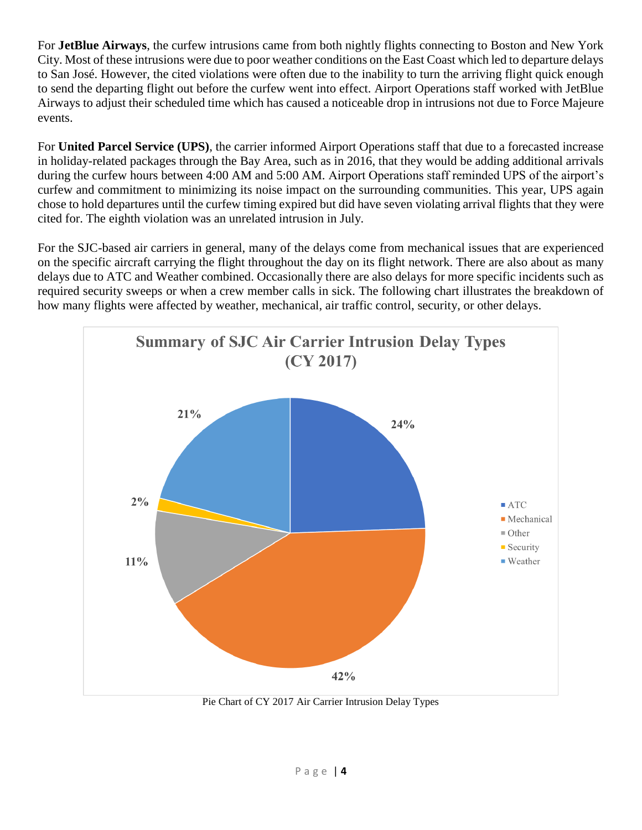For **JetBlue Airways**, the curfew intrusions came from both nightly flights connecting to Boston and New York City. Most of these intrusions were due to poor weather conditions on the East Coast which led to departure delays to San José. However, the cited violations were often due to the inability to turn the arriving flight quick enough to send the departing flight out before the curfew went into effect. Airport Operations staff worked with JetBlue Airways to adjust their scheduled time which has caused a noticeable drop in intrusions not due to Force Majeure events.

For **United Parcel Service (UPS)**, the carrier informed Airport Operations staff that due to a forecasted increase in holiday-related packages through the Bay Area, such as in 2016, that they would be adding additional arrivals during the curfew hours between 4:00 AM and 5:00 AM. Airport Operations staff reminded UPS of the airport's curfew and commitment to minimizing its noise impact on the surrounding communities. This year, UPS again chose to hold departures until the curfew timing expired but did have seven violating arrival flights that they were cited for. The eighth violation was an unrelated intrusion in July.

For the SJC-based air carriers in general, many of the delays come from mechanical issues that are experienced on the specific aircraft carrying the flight throughout the day on its flight network. There are also about as many delays due to ATC and Weather combined. Occasionally there are also delays for more specific incidents such as required security sweeps or when a crew member calls in sick. The following chart illustrates the breakdown of how many flights were affected by weather, mechanical, air traffic control, security, or other delays.



Pie Chart of CY 2017 Air Carrier Intrusion Delay Types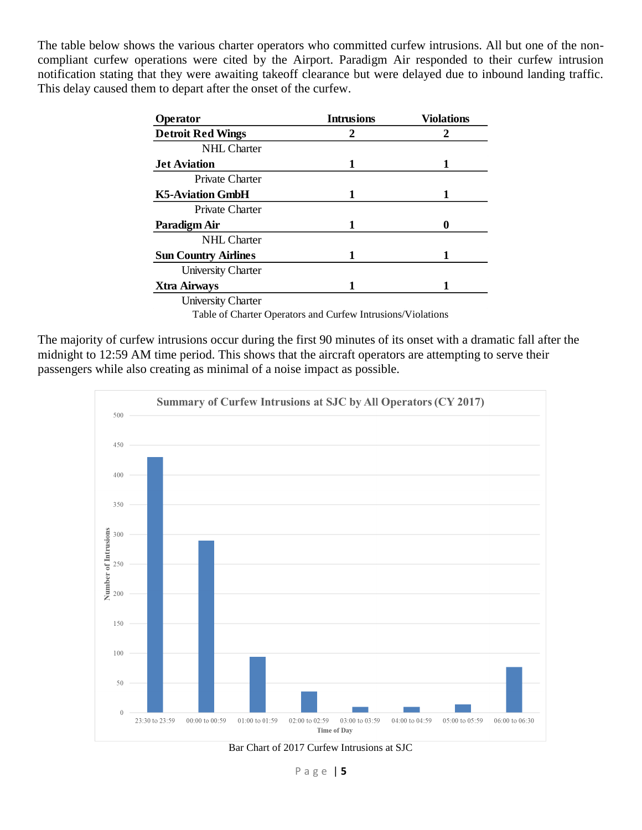The table below shows the various charter operators who committed curfew intrusions. All but one of the noncompliant curfew operations were cited by the Airport. Paradigm Air responded to their curfew intrusion notification stating that they were awaiting takeoff clearance but were delayed due to inbound landing traffic. This delay caused them to depart after the onset of the curfew.

| Operator                    | <b>Intrusions</b> | <b>Violations</b> |
|-----------------------------|-------------------|-------------------|
| <b>Detroit Red Wings</b>    | 2                 |                   |
| <b>NHL</b> Charter          |                   |                   |
| <b>Jet Aviation</b>         | 1                 | 1                 |
| Private Charter             |                   |                   |
| <b>K5-Aviation GmbH</b>     | 1                 |                   |
| Private Charter             |                   |                   |
| Paradigm Air                | 1                 |                   |
| <b>NHL</b> Charter          |                   |                   |
| <b>Sun Country Airlines</b> | 1                 |                   |
| <b>University Charter</b>   |                   |                   |
| <b>Xtra Airways</b>         |                   |                   |
| <b>University Charter</b>   |                   |                   |

Table of Charter Operators and Curfew Intrusions/Violations

The majority of curfew intrusions occur during the first 90 minutes of its onset with a dramatic fall after the midnight to 12:59 AM time period. This shows that the aircraft operators are attempting to serve their passengers while also creating as minimal of a noise impact as possible.



Bar Chart of 2017 Curfew Intrusions at SJC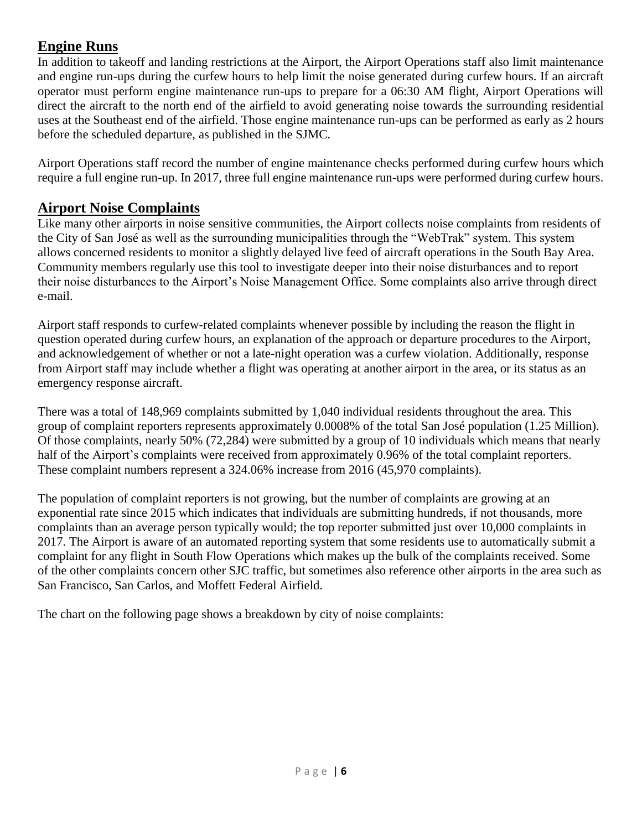# **Engine Runs**

In addition to takeoff and landing restrictions at the Airport, the Airport Operations staff also limit maintenance and engine run-ups during the curfew hours to help limit the noise generated during curfew hours. If an aircraft operator must perform engine maintenance run-ups to prepare for a 06:30 AM flight, Airport Operations will direct the aircraft to the north end of the airfield to avoid generating noise towards the surrounding residential uses at the Southeast end of the airfield. Those engine maintenance run-ups can be performed as early as 2 hours before the scheduled departure, as published in the SJMC.

Airport Operations staff record the number of engine maintenance checks performed during curfew hours which require a full engine run-up. In 2017, three full engine maintenance run-ups were performed during curfew hours.

# **Airport Noise Complaints**

Like many other airports in noise sensitive communities, the Airport collects noise complaints from residents of the City of San José as well as the surrounding municipalities through the "WebTrak" system. This system allows concerned residents to monitor a slightly delayed live feed of aircraft operations in the South Bay Area. Community members regularly use this tool to investigate deeper into their noise disturbances and to report their noise disturbances to the Airport's Noise Management Office. Some complaints also arrive through direct e-mail.

Airport staff responds to curfew-related complaints whenever possible by including the reason the flight in question operated during curfew hours, an explanation of the approach or departure procedures to the Airport, and acknowledgement of whether or not a late-night operation was a curfew violation. Additionally, response from Airport staff may include whether a flight was operating at another airport in the area, or its status as an emergency response aircraft.

There was a total of 148,969 complaints submitted by 1,040 individual residents throughout the area. This group of complaint reporters represents approximately 0.0008% of the total San José population (1.25 Million). Of those complaints, nearly 50% (72,284) were submitted by a group of 10 individuals which means that nearly half of the Airport's complaints were received from approximately 0.96% of the total complaint reporters. These complaint numbers represent a 324.06% increase from 2016 (45,970 complaints).

The population of complaint reporters is not growing, but the number of complaints are growing at an exponential rate since 2015 which indicates that individuals are submitting hundreds, if not thousands, more complaints than an average person typically would; the top reporter submitted just over 10,000 complaints in 2017. The Airport is aware of an automated reporting system that some residents use to automatically submit a complaint for any flight in South Flow Operations which makes up the bulk of the complaints received. Some of the other complaints concern other SJC traffic, but sometimes also reference other airports in the area such as San Francisco, San Carlos, and Moffett Federal Airfield.

The chart on the following page shows a breakdown by city of noise complaints: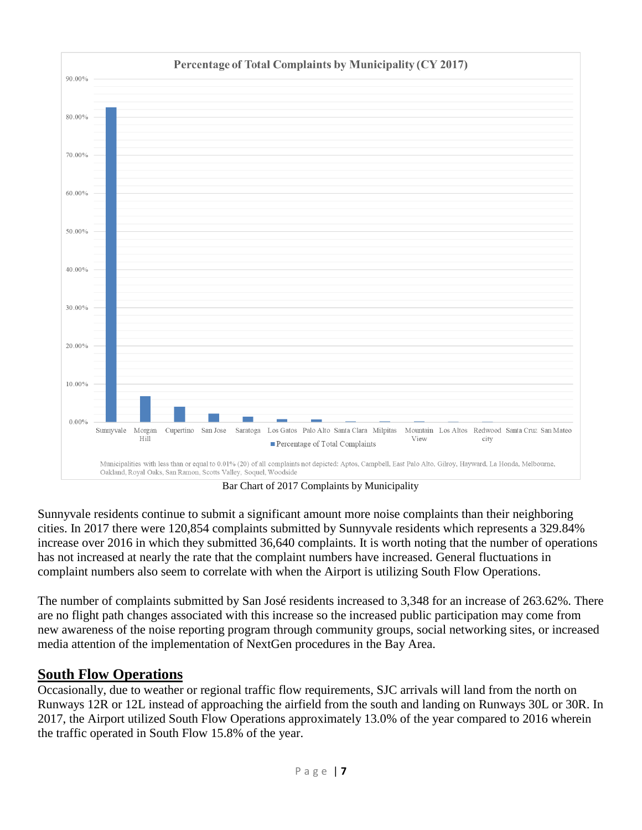

Bar Chart of 2017 Complaints by Municipality

Sunnyvale residents continue to submit a significant amount more noise complaints than their neighboring cities. In 2017 there were 120,854 complaints submitted by Sunnyvale residents which represents a 329.84% increase over 2016 in which they submitted 36,640 complaints. It is worth noting that the number of operations has not increased at nearly the rate that the complaint numbers have increased. General fluctuations in complaint numbers also seem to correlate with when the Airport is utilizing South Flow Operations.

The number of complaints submitted by San José residents increased to 3,348 for an increase of 263.62%. There are no flight path changes associated with this increase so the increased public participation may come from new awareness of the noise reporting program through community groups, social networking sites, or increased media attention of the implementation of NextGen procedures in the Bay Area.

# **South Flow Operations**

Occasionally, due to weather or regional traffic flow requirements, SJC arrivals will land from the north on Runways 12R or 12L instead of approaching the airfield from the south and landing on Runways 30L or 30R. In 2017, the Airport utilized South Flow Operations approximately 13.0% of the year compared to 2016 wherein the traffic operated in South Flow 15.8% of the year.